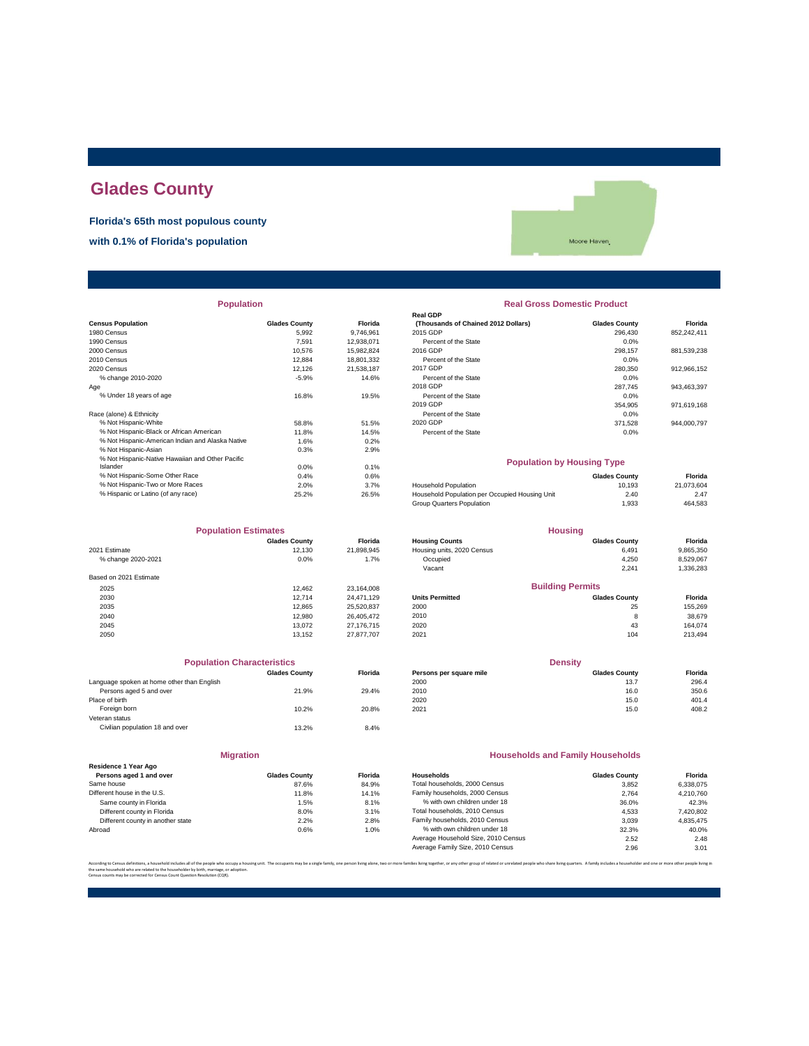# **Glades County**

**Florida's 65th most populous county**

**with 0.1% of Florida's population**

Moore Haven

| <b>Population</b> |  |
|-------------------|--|
|                   |  |

| <b>Glades County</b> | Florida    | (Thousands of Chained 2012 Dollars)            | <b>Glades County</b> | Florida                           |
|----------------------|------------|------------------------------------------------|----------------------|-----------------------------------|
| 5.992                | 9,746,961  | 2015 GDP                                       | 296.430              | 852,242,411                       |
| 7.591                | 12,938,071 | Percent of the State                           | 0.0%                 |                                   |
| 10.576               | 15,982,824 | 2016 GDP                                       | 298,157              | 881,539,238                       |
| 12.884               | 18,801,332 | Percent of the State                           | 0.0%                 |                                   |
| 12,126               | 21,538,187 | 2017 GDP                                       | 280,350              | 912,966,152                       |
| $-5.9%$              | 14.6%      | Percent of the State                           | 0.0%                 |                                   |
|                      |            | 2018 GDP                                       | 287.745              | 943,463,397                       |
| 16.8%                | 19.5%      | Percent of the State                           | 0.0%                 |                                   |
|                      |            | 2019 GDP                                       | 354,905              | 971,619,168                       |
|                      |            | Percent of the State                           | 0.0%                 |                                   |
| 58.8%                | 51.5%      | 2020 GDP                                       | 371.528              | 944.000.797                       |
| 11.8%                | 14.5%      | Percent of the State                           | 0.0%                 |                                   |
| 1.6%                 | 0.2%       |                                                |                      |                                   |
| 0.3%                 | 2.9%       |                                                |                      |                                   |
|                      |            |                                                |                      |                                   |
| 0.0%                 | 0.1%       |                                                |                      |                                   |
| 0.4%                 | 0.6%       |                                                | <b>Glades County</b> | Florida                           |
| 2.0%                 | 3.7%       | <b>Household Population</b>                    | 10,193               | 21,073,604                        |
| 25.2%                | 26.5%      | Household Population per Occupied Housing Unit | 2.40                 | 2.47                              |
|                      |            |                                                |                      | <b>Population by Housing Type</b> |

| <b>Population Estimates</b> |                      |                | <b>Housing</b>             |                         |           |
|-----------------------------|----------------------|----------------|----------------------------|-------------------------|-----------|
|                             | <b>Glades County</b> | <b>Florida</b> | <b>Housing Counts</b>      | <b>Glades County</b>    | Florida   |
| 2021 Estimate               | 12.130               | 21,898,945     | Housing units, 2020 Census | 6,491                   | 9,865,350 |
| % change 2020-2021          | 0.0%                 | 1.7%           | Occupied                   | 4,250                   | 8,529,067 |
|                             |                      |                | Vacant                     | 2,241                   | 1,336,283 |
| Based on 2021 Estimate      |                      |                |                            |                         |           |
| 2025                        | 12.462               | 23,164,008     |                            | <b>Building Permits</b> |           |
| 2030                        | 12.714               | 24.471.129     | <b>Units Permitted</b>     | <b>Glades County</b>    | Florida   |
| 2035                        | 12.865               | 25,520,837     | 2000                       | 25                      | 155,269   |
| 2040                        | 12,980               | 26.405.472     | 2010                       | 8                       | 38,679    |
| 2045                        | 13.072               | 27.176.715     | 2020                       | 43                      | 164.074   |
| 2050                        | 13.152               | 27.877.707     | 2021                       | 104                     | 213,494   |

| <b>Population Characteristics</b>          |                      |                |
|--------------------------------------------|----------------------|----------------|
|                                            | <b>Glades County</b> | <b>Florida</b> |
| Language spoken at home other than English |                      |                |
| Persons aged 5 and over                    | 21.9%                | 29.4%          |
| Place of birth                             |                      |                |
| Foreign born                               | 10.2%                | 20.8%          |
| Veteran status                             |                      |                |
| Civilian population 18 and over            | 13.2%                | 8.4%           |
|                                            |                      |                |
|                                            |                      |                |

| <b>Migration</b>                                |                      |         |  |  |  |
|-------------------------------------------------|----------------------|---------|--|--|--|
| Residence 1 Year Ago<br>Persons aged 1 and over | <b>Glades County</b> | Florida |  |  |  |
| Same house                                      | 87.6%                | 84.9%   |  |  |  |
| Different house in the U.S.                     | 11.8%                | 14.1%   |  |  |  |
| Same county in Florida                          | 1.5%                 | 8.1%    |  |  |  |
| Different county in Florida                     | 8.0%                 | 3.1%    |  |  |  |
| Different county in another state               | 2.2%                 | 2.8%    |  |  |  |

# 1991 Venet and the Claudian Chained 2012 Dollars)<br>
2015 GDP 296,430<br>
Percent of the State 0.0%<br>
2016 GDP 208,157

**Real Gross Domestic Product** 

**Real GDP**

|                                          | .       | .          |                      |         |             |
|------------------------------------------|---------|------------|----------------------|---------|-------------|
| 0 Census                                 | 10.576  | 15.982.824 | 2016 GDP             | 298.157 | 881,539,238 |
| 0 Census                                 | 12.884  | 18,801,332 | Percent of the State | 0.0%    |             |
| 0 Census                                 | 12.126  | 21.538.187 | 2017 GDP             | 280.350 | 912.966.152 |
| % change 2010-2020                       | $-5.9%$ | 14.6%      | Percent of the State | 0.0%    |             |
|                                          |         |            | 2018 GDP             | 287.745 | 943.463.397 |
| % Under 18 years of age                  | 16.8%   | 19.5%      | Percent of the State | 0.0%    |             |
|                                          |         |            | 2019 GDP             | 354.905 | 971.619.168 |
| e (alone) & Ethnicity                    |         |            | Percent of the State | 0.0%    |             |
| % Not Hispanic-White                     | 58.8%   | 51.5%      | 2020 GDP             | 371.528 | 944.000.797 |
| % Not Hispanic-Black or African American | 11.8%   | 14.5%      | Percent of the State | 0.0%    |             |
|                                          | .       |            |                      |         |             |

#### **Population by Housing Type**

| 0.4%  | 0.6%  |                                                | <b>Glades County</b> | Florida    |
|-------|-------|------------------------------------------------|----------------------|------------|
| 2.0%  | 3.7%  | <b>Household Population</b>                    | 10.193               | 21.073.604 |
| 25.2% | 26.5% | Household Population per Occupied Housing Unit | 2.40                 | 2.47       |
|       |       | Group Quarters Population                      | 1.933                | 464.583    |
|       |       |                                                |                      |            |

| <b>Population Estimates</b> |                      |                | <b>Housing</b>             |                         |           |
|-----------------------------|----------------------|----------------|----------------------------|-------------------------|-----------|
|                             | <b>Glades County</b> | <b>Florida</b> | <b>Housing Counts</b>      | <b>Glades County</b>    | Florida   |
| 2021 Estimate               | 12.130               | 21.898.945     | Housing units, 2020 Census | 6.491                   | 9,865,350 |
| % change 2020-2021          | 0.0%                 | 1.7%           | Occupied                   | 4,250                   | 8,529,067 |
|                             |                      |                | Vacant                     | 2,241                   | 1,336,283 |
| Based on 2021 Estimate      |                      |                |                            |                         |           |
| 2025                        | 12.462               | 23.164.008     |                            | <b>Building Permits</b> |           |
| 2030                        | 12.714               | 24.471.129     | <b>Units Permitted</b>     | <b>Glades County</b>    | Florida   |
| 2035                        | 12.865               | 25,520,837     | 2000                       | 25                      | 155,269   |
| 2040                        | 12.980               | 26,405,472     | 2010                       | 8                       | 38,679    |
| 2045                        | 13.072               | 27 176 715     | 2020                       | 43                      | 164 074   |

| <b>Population Characteristics</b> |                                                                       |         | <b>Density</b>          |                      |         |
|-----------------------------------|-----------------------------------------------------------------------|---------|-------------------------|----------------------|---------|
|                                   | <b>Glades County</b>                                                  | Florida | Persons per square mile | <b>Glades County</b> | Florida |
|                                   |                                                                       |         | 2000                    | 13.7                 | 296.4   |
|                                   | 21.9%                                                                 | 29.4%   | 2010                    | 16.0                 | 350.6   |
|                                   |                                                                       |         | 2020                    | 15.0                 | 401.4   |
|                                   | 10.2%                                                                 | 20.8%   | 2021                    | 15.0                 | 408.2   |
|                                   | Language spoken at home other than English<br>Persons aged 5 and over |         |                         |                      |         |

#### **Households and Family Households**

| Residence 1 Year Ago              |                      |                |                                     |                      |           |
|-----------------------------------|----------------------|----------------|-------------------------------------|----------------------|-----------|
| Persons aged 1 and over           | <b>Glades County</b> | <b>Florida</b> | Households                          | <b>Glades County</b> | Florida   |
| Same house                        | 87.6%                | 84.9%          | Total households, 2000 Census       | 3.852                | 6.338.075 |
| Different house in the U.S.       | 11.8%                | 14.1%          | Family households, 2000 Census      | 2.764                | 4.210.760 |
| Same county in Florida            | 1.5%                 | 8.1%           | % with own children under 18        | 36.0%                | 42.3%     |
| Different county in Florida       | 8.0%                 | 3.1%           | Total households, 2010 Census       | 4.533                | 7,420,802 |
| Different county in another state | 2.2%                 | 2.8%           | Family households, 2010 Census      | 3.039                | 4.835.475 |
| Abroad                            | 0.6%                 | 1.0%           | % with own children under 18        | 32.3%                | 40.0%     |
|                                   |                      |                | Average Household Size, 2010 Census | 2.52                 | 2.48      |
|                                   |                      |                | Average Family Size, 2010 Census    | 2.96                 | 3.01      |
|                                   |                      |                |                                     |                      |           |

.<br>ies living together, or any other group of related or unrelated people who share living quarters. A family includes a householder and one or more other pe

the same household who are related to the householder by birth, marriage, or adoption. Census counts may be corrected for Census Count Question Resolution (CQR).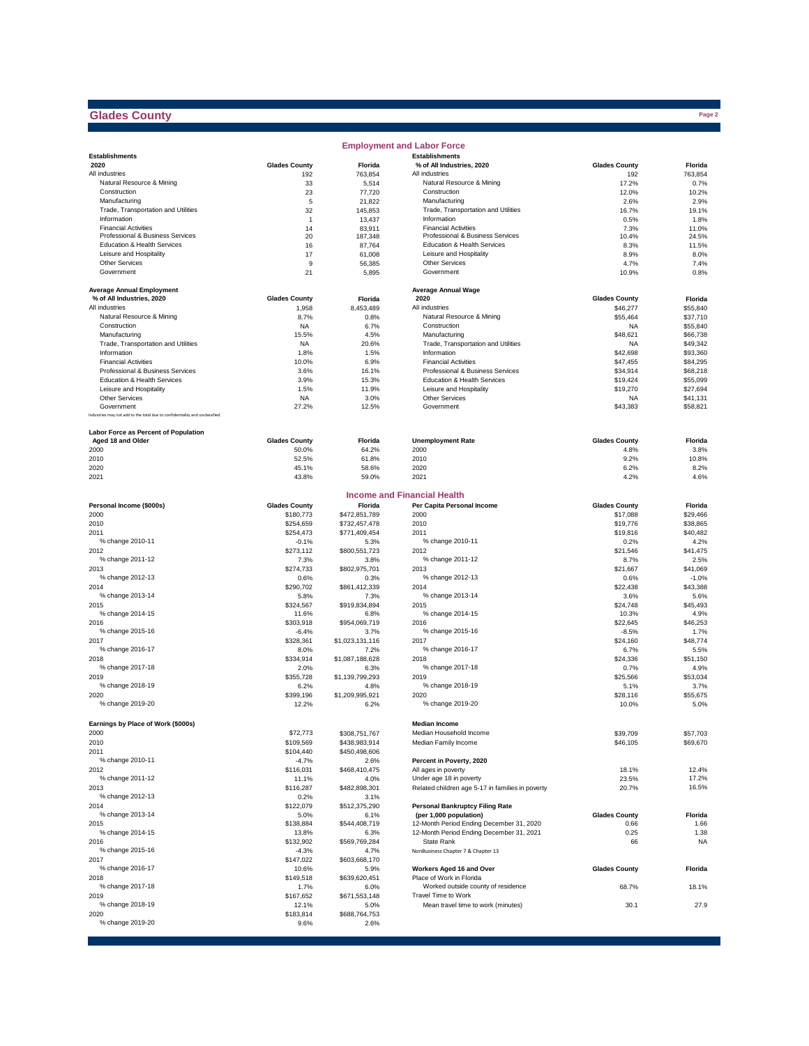### **Glades County**

|                                                                              |                                   |                          | <b>Employment and Labor Force</b>                |                                  |                      |
|------------------------------------------------------------------------------|-----------------------------------|--------------------------|--------------------------------------------------|----------------------------------|----------------------|
| <b>Establishments</b>                                                        |                                   |                          | <b>Establishments</b>                            |                                  |                      |
| 2020                                                                         | <b>Glades County</b>              | Florida                  | % of All Industries, 2020                        | <b>Glades County</b>             | Florida              |
| All industries                                                               | 192                               | 763.854                  | All industries                                   | 192                              | 763,854              |
| Natural Resource & Mining<br>Construction                                    | 33<br>23                          | 5,514<br>77,720          | Natural Resource & Mining<br>Construction        | 17.2%<br>12.0%                   | 0.7%<br>10.2%        |
| Manufacturing                                                                | 5                                 | 21,822                   | Manufacturing                                    | 2.6%                             | 2.9%                 |
| Trade, Transportation and Utilities                                          | 32                                | 145,853                  | Trade, Transportation and Utilities              | 16.7%                            | 19.1%                |
| Information                                                                  | $\mathbf{1}$                      | 13,437                   | Information                                      | 0.5%                             | 1.8%                 |
| <b>Financial Activities</b>                                                  | 14                                | 83,911                   | <b>Financial Activities</b>                      | 7.3%                             | 11.0%                |
| Professional & Business Services                                             | 20                                | 187,348                  | Professional & Business Services                 | 10.4%                            | 24.5%                |
| Education & Health Services                                                  | 16                                | 87,764                   | Education & Health Services                      | 8.3%                             | 11.5%                |
| Leisure and Hospitality                                                      | 17                                | 61,008                   | Leisure and Hospitality                          | 8.9%                             | 8.0%                 |
| Other Services                                                               | 9                                 | 56,385                   | Other Services                                   | 4.7%                             | 7.4%                 |
| Government                                                                   | 21                                | 5,895                    | Government                                       | 10.9%                            | 0.8%                 |
| <b>Average Annual Employment</b>                                             |                                   |                          | <b>Average Annual Wage</b>                       |                                  |                      |
| % of All Industries, 2020                                                    | <b>Glades County</b>              | Florida                  | 2020                                             | <b>Glades County</b>             | Florida              |
| All industries                                                               | 1,958                             | 8.453.489                | All industries                                   | \$46,277                         | \$55,840             |
| Natural Resource & Mining                                                    | 8.7%                              | 0.8%                     | Natural Resource & Mining                        | \$55,464                         | \$37,710             |
| Construction                                                                 | <b>NA</b>                         | 6.7%                     | Construction                                     | <b>NA</b>                        | \$55,840             |
| Manufacturing                                                                | 15.5%                             | 4.5%                     | Manufacturing                                    | \$48,621                         | \$66,738             |
| Trade, Transportation and Utilities                                          | NA                                | 20.6%                    | Trade, Transportation and Utilities              | <b>NA</b>                        | \$49,342             |
| Information                                                                  | 1.8%                              | 1.5%                     | Information                                      | \$42,698                         | \$93,360             |
| <b>Financial Activities</b>                                                  | 10.0%                             | 6.9%                     | <b>Financial Activities</b>                      | \$47,455                         | \$84,295             |
| Professional & Business Services                                             | 3.6%                              | 16.1%                    | Professional & Business Services                 | \$34,914                         | \$68,218             |
| Education & Health Services                                                  | 3.9%                              | 15.3%                    | Education & Health Services                      | \$19,424                         | \$55,099             |
| Leisure and Hospitality<br>Other Services                                    | 1.5%                              | 11.9%                    | Leisure and Hospitality<br>Other Services        | \$19,270                         | \$27,694             |
| Government                                                                   | <b>NA</b><br>27.2%                | 3.0%<br>12.5%            | Government                                       | <b>NA</b><br>\$43,383            | \$41,131<br>\$58,821 |
| Industries may not add to the total due to confidentiality and unclassified. |                                   |                          |                                                  |                                  |                      |
|                                                                              |                                   |                          |                                                  |                                  |                      |
| Labor Force as Percent of Population                                         |                                   |                          |                                                  |                                  |                      |
| Aged 18 and Older                                                            | <b>Glades County</b>              | Florida                  | <b>Unemployment Rate</b>                         | <b>Glades County</b>             | Florida              |
| 2000                                                                         | 50.0%                             | 64.2%                    | 2000                                             | 4.8%                             | 3.8%                 |
| 2010                                                                         | 52.5%                             | 61.8%                    | 2010                                             | 9.2%                             | 10.8%                |
| 2020                                                                         | 45.1%                             | 58.6%                    | 2020                                             | 6.2%                             | 8.2%                 |
| 2021                                                                         | 43.8%                             | 59.0%                    | 2021                                             | 4.2%                             | 4.6%                 |
|                                                                              |                                   |                          | <b>Income and Financial Health</b>               |                                  |                      |
|                                                                              |                                   |                          | Per Capita Personal Income                       |                                  |                      |
| Personal Income (\$000s)<br>2000                                             | <b>Glades County</b><br>\$180,773 | Florida<br>\$472,851,789 | 2000                                             | <b>Glades County</b><br>\$17,088 | Florida<br>\$29,466  |
| 2010                                                                         | \$254,659                         | \$732,457,478            | 2010                                             | \$19,776                         | \$38,865             |
| 2011                                                                         | \$254,473                         | \$771,409,454            | 2011                                             | \$19,816                         | \$40,482             |
| % change 2010-11                                                             | $-0.1%$                           | 5.3%                     | % change 2010-11                                 | 0.2%                             | 4.2%                 |
| 2012                                                                         | \$273,112                         | \$800,551,723            | 2012                                             | \$21,546                         | \$41,475             |
| % change 2011-12                                                             | 7.3%                              | 3.8%                     | % change 2011-12                                 | 8.7%                             | 2.5%                 |
| 2013                                                                         | \$274,733                         | \$802,975,701            | 2013                                             | \$21,667                         | \$41,069             |
| % change 2012-13                                                             | 0.6%                              | 0.3%                     | % change 2012-13                                 | 0.6%                             | $-1.0%$              |
| 2014                                                                         | \$290,702                         | \$861,412,339            | 2014                                             | \$22,438                         | \$43,388             |
| % change 2013-14                                                             | 5.8%                              | 7.3%                     | % change 2013-14                                 | 3.6%                             | 5.6%                 |
| 2015                                                                         | \$324,567                         | \$919,834,894            | 2015                                             | \$24,748                         | \$45,493             |
| % change 2014-15<br>2016                                                     | 11.6%<br>\$303,918                | 6.8%                     | % change 2014-15<br>2016                         | 10.3%                            | 4.9%                 |
| % change 2015-16                                                             | $-6.4%$                           | \$954,069,719<br>3.7%    | % change 2015-16                                 | \$22,645<br>$-8.5%$              | \$46,253<br>1.7%     |
| 2017                                                                         | \$328,361                         | \$1,023,131,116          | 2017                                             | \$24,160                         | \$48,774             |
| % change 2016-17                                                             | 8.0%                              | 7.2%                     | % change 2016-17                                 | 6.7%                             | 5.5%                 |
| 2018                                                                         | \$334,914                         | \$1,087,188,628          | 2018                                             | \$24,336                         | \$51,150             |
| % change 2017-18                                                             | 2.0%                              | 6.3%                     | % change 2017-18                                 | 0.7%                             | 4.9%                 |
| 2019                                                                         | \$355,728                         | \$1,139,799,293          | 2019                                             | \$25,566                         | \$53,034             |
| % change 2018-19                                                             | 6.2%                              | 4.8%                     | % change 2018-19                                 | 5.1%                             | 3.7%                 |
| 2020                                                                         | \$399,196                         | \$1,209,995,921          | 2020                                             | \$28,116                         | \$55,675             |
| % change 2019-20                                                             | 12.2%                             | 6.2%                     | % change 2019-20                                 | 10.0%                            | 5.0%                 |
|                                                                              |                                   |                          |                                                  |                                  |                      |
| Earnings by Place of Work (\$000s)                                           |                                   |                          | <b>Median Income</b>                             |                                  |                      |
| 2000                                                                         | \$72,773                          | \$308,751,767            | Median Household Income                          | \$39,709                         | \$57,703             |
| 2010                                                                         | \$109,569                         | \$438,983,914            | Median Family Income                             | \$46,105                         | \$69,670             |
| 2011                                                                         | \$104,440                         | \$450,498,606            |                                                  |                                  |                      |
| % change 2010-11                                                             | $-4.7%$                           | 2.6%                     | Percent in Poverty, 2020                         |                                  |                      |
| 2012<br>% change 2011-12                                                     | \$116,031                         | \$468,410,475            | All ages in poverty<br>Under age 18 in poverty   | 18.1%                            | 12.4%<br>17.2%       |
| 2013                                                                         | 11.1%<br>\$116,287                | 4.0%<br>\$482,898,301    | Related children age 5-17 in families in poverty | 23.5%<br>20.7%                   | 16.5%                |
| % change 2012-13                                                             | 0.2%                              | 3.1%                     |                                                  |                                  |                      |
| 2014                                                                         | \$122,079                         | \$512,375,290            | <b>Personal Bankruptcy Filing Rate</b>           |                                  |                      |
| % change 2013-14                                                             | 5.0%                              | 6.1%                     | (per 1,000 population)                           | <b>Glades County</b>             | Florida              |
| 2015                                                                         | \$138,884                         | \$544,408,719            | 12-Month Period Ending December 31, 2020         | 0.66                             | 1.66                 |
| % change 2014-15                                                             | 13.8%                             | 6.3%                     | 12-Month Period Ending December 31, 2021         | 0.25                             | 1.38                 |
| 2016                                                                         | \$132,902                         | \$569,769,284            | State Rank                                       | 66                               | <b>NA</b>            |
| % change 2015-16                                                             | $-4.3%$                           | 4.7%                     | NonBusiness Chapter 7 & Chapter 13               |                                  |                      |
| 2017                                                                         | \$147,022                         | \$603,668,170            |                                                  |                                  |                      |
| % change 2016-17                                                             | 10.6%                             | 5.9%                     | Workers Aged 16 and Over                         | <b>Glades County</b>             | Florida              |
| 2018                                                                         | \$149,518                         | \$639,620,451            | Place of Work in Florida                         |                                  |                      |
| % change 2017-18                                                             | 1.7%                              | 6.0%                     | Worked outside county of residence               | 68.7%                            | 18.1%                |
| 2019<br>% change 2018-19                                                     | \$167,652                         | \$671,553,148            | Travel Time to Work                              |                                  |                      |
| 2020                                                                         | 12.1%<br>\$183,814                | 5.0%<br>\$688,764,753    | Mean travel time to work (minutes)               | 30.1                             | 27.9                 |
| % change 2019-20                                                             | 9.6%                              | 2.6%                     |                                                  |                                  |                      |